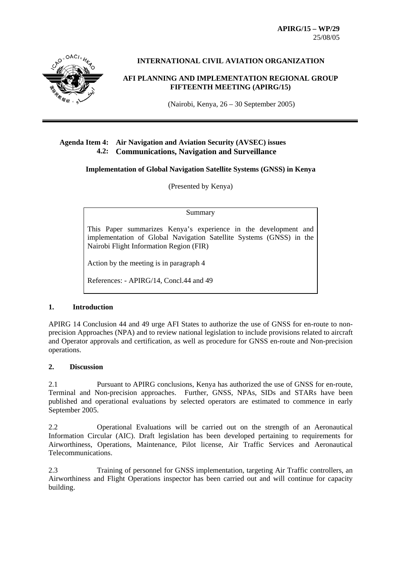**APIRG/15 – WP/29**  25/08/05



## **INTERNATIONAL CIVIL AVIATION ORGANIZATION**

### **AFI PLANNING AND IMPLEMENTATION REGIONAL GROUP FIFTEENTH MEETING (APIRG/15)**

(Nairobi, Kenya, 26 – 30 September 2005)

## **Agenda Item 4: Air Navigation and Aviation Security (AVSEC) issues 4.2: Communications, Navigation and Surveillance**

#### **Implementation of Global Navigation Satellite Systems (GNSS) in Kenya**

(Presented by Kenya)

#### Summary

This Paper summarizes Kenya's experience in the development and implementation of Global Navigation Satellite Systems (GNSS) in the Nairobi Flight Information Region (FIR)

Action by the meeting is in paragraph 4

References: - APIRG/14, Concl.44 and 49

### **1. Introduction**

APIRG 14 Conclusion 44 and 49 urge AFI States to authorize the use of GNSS for en-route to nonprecision Approaches (NPA) and to review national legislation to include provisions related to aircraft and Operator approvals and certification, as well as procedure for GNSS en-route and Non-precision operations.

### **2. Discussion**

2.1 Pursuant to APIRG conclusions, Kenya has authorized the use of GNSS for en-route, Terminal and Non-precision approaches. Further, GNSS, NPAs, SIDs and STARs have been published and operational evaluations by selected operators are estimated to commence in early September 2005.

2.2 Operational Evaluations will be carried out on the strength of an Aeronautical Information Circular (AIC). Draft legislation has been developed pertaining to requirements for Airworthiness, Operations, Maintenance, Pilot license, Air Traffic Services and Aeronautical Telecommunications.

2.3 Training of personnel for GNSS implementation, targeting Air Traffic controllers, an Airworthiness and Flight Operations inspector has been carried out and will continue for capacity building.